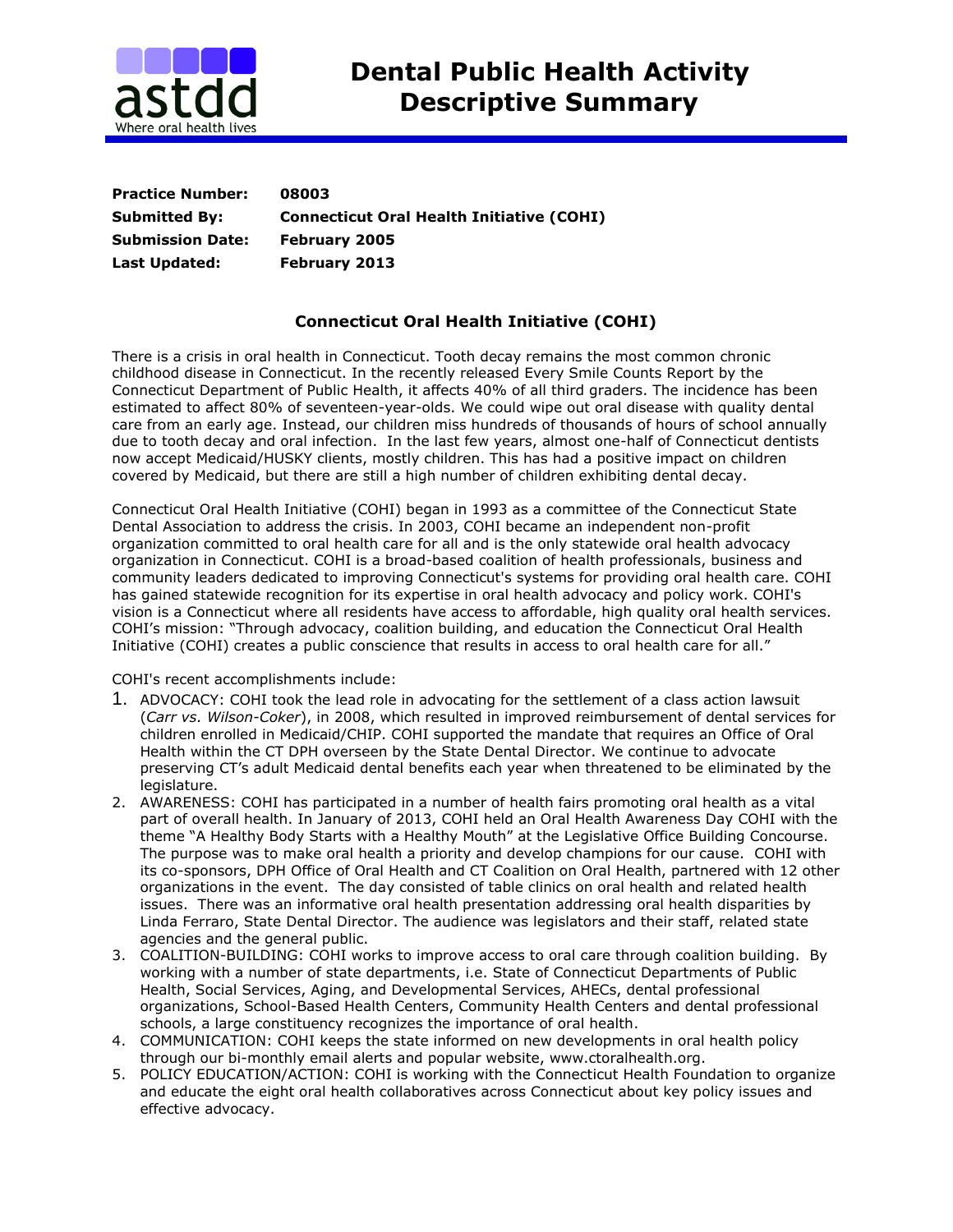

| <b>Practice Number:</b> | 08003                                            |
|-------------------------|--------------------------------------------------|
| <b>Submitted By:</b>    | <b>Connecticut Oral Health Initiative (COHI)</b> |
| <b>Submission Date:</b> | <b>February 2005</b>                             |
| Last Updated:           | <b>February 2013</b>                             |

## **Connecticut Oral Health Initiative (COHI)**

There is a crisis in oral health in Connecticut. Tooth decay remains the most common chronic childhood disease in Connecticut. In the recently released Every Smile Counts Report by the Connecticut Department of Public Health, it affects 40% of all third graders. The incidence has been estimated to affect 80% of seventeen-year-olds. We could wipe out oral disease with quality dental care from an early age. Instead, our children miss hundreds of thousands of hours of school annually due to tooth decay and oral infection. In the last few years, almost one-half of Connecticut dentists now accept Medicaid/HUSKY clients, mostly children. This has had a positive impact on children covered by Medicaid, but there are still a high number of children exhibiting dental decay.

Connecticut Oral Health Initiative (COHI) began in 1993 as a committee of the Connecticut State Dental Association to address the crisis. In 2003, COHI became an independent non-profit organization committed to oral health care for all and is the only statewide oral health advocacy organization in Connecticut. COHI is a broad-based coalition of health professionals, business and community leaders dedicated to improving Connecticut's systems for providing oral health care. COHI has gained statewide recognition for its expertise in oral health advocacy and policy work. COHI's vision is a Connecticut where all residents have access to affordable, high quality oral health services. COHI's mission: "Through advocacy, coalition building, and education the Connecticut Oral Health Initiative (COHI) creates a public conscience that results in access to oral health care for all."

COHI's recent accomplishments include:

- 1. ADVOCACY: COHI took the lead role in advocating for the settlement of a class action lawsuit (*Carr vs. Wilson-Coker*), in 2008, which resulted in improved reimbursement of dental services for children enrolled in Medicaid/CHIP. COHI supported the mandate that requires an Office of Oral Health within the CT DPH overseen by the State Dental Director. We continue to advocate preserving CT's adult Medicaid dental benefits each year when threatened to be eliminated by the legislature.
- 2. AWARENESS: COHI has participated in a number of health fairs promoting oral health as a vital part of overall health. In January of 2013, COHI held an Oral Health Awareness Day COHI with the theme "A Healthy Body Starts with a Healthy Mouth" at the Legislative Office Building Concourse. The purpose was to make oral health a priority and develop champions for our cause. COHI with its co-sponsors, DPH Office of Oral Health and CT Coalition on Oral Health, partnered with 12 other organizations in the event. The day consisted of table clinics on oral health and related health issues. There was an informative oral health presentation addressing oral health disparities by Linda Ferraro, State Dental Director. The audience was legislators and their staff, related state agencies and the general public.
- 3. COALITION-BUILDING: COHI works to improve access to oral care through coalition building. By working with a number of state departments, i.e. State of Connecticut Departments of Public Health, Social Services, Aging, and Developmental Services, AHECs, dental professional organizations, School-Based Health Centers, Community Health Centers and dental professional schools, a large constituency recognizes the importance of oral health.
- 4. COMMUNICATION: COHI keeps the state informed on new developments in oral health policy through our bi-monthly email alerts and popular website, www.ctoralhealth.org.
- 5. POLICY EDUCATION/ACTION: COHI is working with the Connecticut Health Foundation to organize and educate the eight oral health collaboratives across Connecticut about key policy issues and effective advocacy.